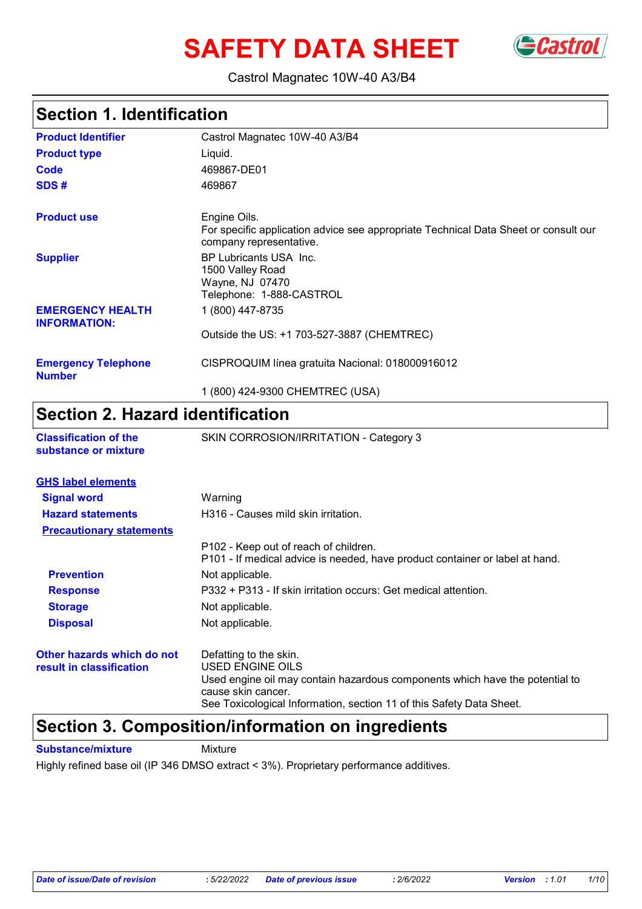# **SAFETY DATA SHEET** GCastrol



### Castrol Magnatec 10W-40 A3/B4

## **Section 1. Identification**

| <b>Product Identifier</b>                      | Castrol Magnatec 10W-40 A3/B4                                                                                                  |
|------------------------------------------------|--------------------------------------------------------------------------------------------------------------------------------|
| <b>Product type</b>                            | Liquid.                                                                                                                        |
| Code                                           | 469867-DE01                                                                                                                    |
| SDS#                                           | 469867                                                                                                                         |
| <b>Product use</b>                             | Engine Oils.<br>For specific application advice see appropriate Technical Data Sheet or consult our<br>company representative. |
| <b>Supplier</b>                                | BP Lubricants USA Inc.<br>1500 Valley Road<br>Wayne, NJ 07470<br>Telephone: 1-888-CASTROL                                      |
| <b>EMERGENCY HEALTH</b><br><b>INFORMATION:</b> | 1 (800) 447-8735                                                                                                               |
|                                                | Outside the US: +1 703-527-3887 (CHEMTREC)                                                                                     |
| <b>Emergency Telephone</b><br><b>Number</b>    | CISPROQUIM línea gratuita Nacional: 018000916012                                                                               |
|                                                | 1 (800) 424-9300 CHEMTREC (USA)                                                                                                |

## **Section 2. Hazard identification**

| substance or mixture                                   |                                                                                                                                                                                                                          |
|--------------------------------------------------------|--------------------------------------------------------------------------------------------------------------------------------------------------------------------------------------------------------------------------|
| <b>GHS label elements</b>                              |                                                                                                                                                                                                                          |
| <b>Signal word</b>                                     | Warning                                                                                                                                                                                                                  |
| <b>Hazard statements</b>                               | H316 - Causes mild skin irritation.                                                                                                                                                                                      |
| <b>Precautionary statements</b>                        |                                                                                                                                                                                                                          |
|                                                        | P102 - Keep out of reach of children.<br>P101 - If medical advice is needed, have product container or label at hand.                                                                                                    |
| <b>Prevention</b>                                      | Not applicable.                                                                                                                                                                                                          |
| <b>Response</b>                                        | P332 + P313 - If skin irritation occurs: Get medical attention.                                                                                                                                                          |
| <b>Storage</b>                                         | Not applicable.                                                                                                                                                                                                          |
| <b>Disposal</b>                                        | Not applicable.                                                                                                                                                                                                          |
| Other hazards which do not<br>result in classification | Defatting to the skin.<br>USED ENGINE OILS<br>Used engine oil may contain hazardous components which have the potential to<br>cause skin cancer.<br>See Toxicological Information, section 11 of this Safety Data Sheet. |

## **Section 3. Composition/information on ingredients**

**Classification of the** SKIN CORROSION/IRRITATION - Category 3

**Substance/mixture** Mixture

Highly refined base oil (IP 346 DMSO extract < 3%). Proprietary performance additives.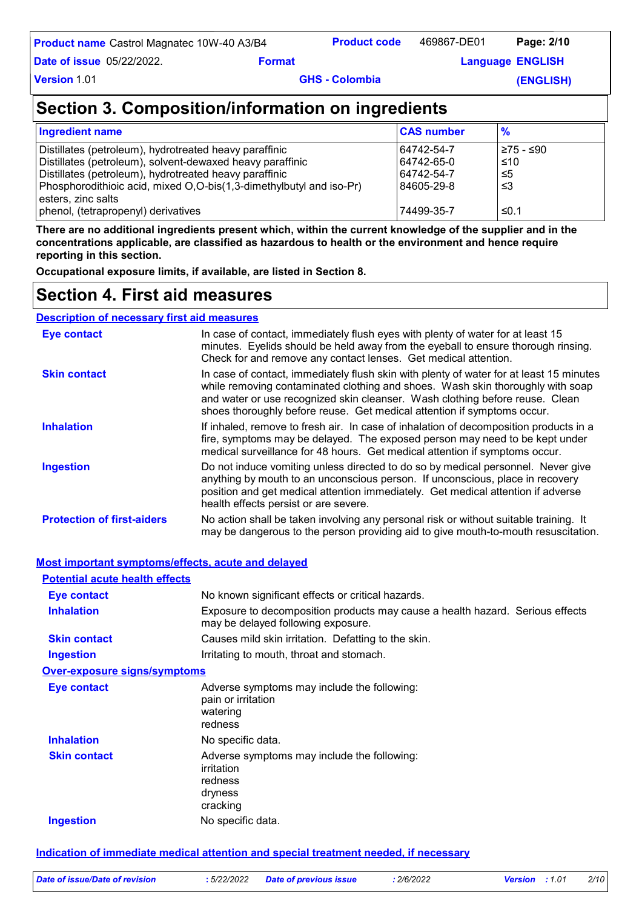| <b>Product name</b> Castrol Magnatec 10W-40 A3/B4 | <b>Product code</b> | 469867-DE01 | Page: 2/10 |  |
|---------------------------------------------------|---------------------|-------------|------------|--|
|---------------------------------------------------|---------------------|-------------|------------|--|

**Example 2 Example 2 Englisher Language** ENGLISH

**Version** 1.01

**Date of issue** 05/22/2022.

**GHS - Colombia** 

**(ENGLISH)**

## **Section 3. Composition/information on ingredients**

| Ingredient name                                                     | <b>CAS number</b> | $\frac{9}{6}$ |
|---------------------------------------------------------------------|-------------------|---------------|
| Distillates (petroleum), hydrotreated heavy paraffinic              | 64742-54-7        | 275 - ≤90     |
| Distillates (petroleum), solvent-dewaxed heavy paraffinic           | 64742-65-0        | ≤10           |
| Distillates (petroleum), hydrotreated heavy paraffinic              | 64742-54-7        | ≤5            |
| Phosphorodithioic acid, mixed O,O-bis(1,3-dimethylbutyl and iso-Pr) | 84605-29-8        | ≤3            |
| esters, zinc salts                                                  |                   |               |
| phenol, (tetrapropenyl) derivatives                                 | 74499-35-7        | ≤0.1          |

**There are no additional ingredients present which, within the current knowledge of the supplier and in the concentrations applicable, are classified as hazardous to health or the environment and hence require reporting in this section.**

**Occupational exposure limits, if available, are listed in Section 8.**

## **Section 4. First aid measures**

| <b>Description of necessary first aid measures</b> |                                                                                                                                                                                                                                                                                                                                      |
|----------------------------------------------------|--------------------------------------------------------------------------------------------------------------------------------------------------------------------------------------------------------------------------------------------------------------------------------------------------------------------------------------|
| Eye contact                                        | In case of contact, immediately flush eyes with plenty of water for at least 15<br>minutes. Eyelids should be held away from the eyeball to ensure thorough rinsing.<br>Check for and remove any contact lenses. Get medical attention.                                                                                              |
| <b>Skin contact</b>                                | In case of contact, immediately flush skin with plenty of water for at least 15 minutes<br>while removing contaminated clothing and shoes. Wash skin thoroughly with soap<br>and water or use recognized skin cleanser. Wash clothing before reuse. Clean<br>shoes thoroughly before reuse. Get medical attention if symptoms occur. |
| <b>Inhalation</b>                                  | If inhaled, remove to fresh air. In case of inhalation of decomposition products in a<br>fire, symptoms may be delayed. The exposed person may need to be kept under<br>medical surveillance for 48 hours. Get medical attention if symptoms occur.                                                                                  |
| <b>Ingestion</b>                                   | Do not induce vomiting unless directed to do so by medical personnel. Never give<br>anything by mouth to an unconscious person. If unconscious, place in recovery<br>position and get medical attention immediately. Get medical attention if adverse<br>health effects persist or are severe.                                       |
| <b>Protection of first-aiders</b>                  | No action shall be taken involving any personal risk or without suitable training. It<br>may be dangerous to the person providing aid to give mouth-to-mouth resuscitation.                                                                                                                                                          |

### **Most important symptoms/effects, acute and delayed**

| <b>Potential acute health effects</b> |                                                                                                                     |
|---------------------------------------|---------------------------------------------------------------------------------------------------------------------|
| Eye contact                           | No known significant effects or critical hazards.                                                                   |
| <b>Inhalation</b>                     | Exposure to decomposition products may cause a health hazard. Serious effects<br>may be delayed following exposure. |
| <b>Skin contact</b>                   | Causes mild skin irritation. Defatting to the skin.                                                                 |
| Ingestion                             | Irritating to mouth, throat and stomach.                                                                            |
| <b>Over-exposure signs/symptoms</b>   |                                                                                                                     |
| Eye contact                           | Adverse symptoms may include the following:<br>pain or irritation<br>watering<br>redness                            |
| <b>Inhalation</b>                     | No specific data.                                                                                                   |
| <b>Skin contact</b>                   | Adverse symptoms may include the following:<br>irritation<br>redness<br>dryness<br>cracking                         |
| <b>Ingestion</b>                      | No specific data.                                                                                                   |

### **Indication of immediate medical attention and special treatment needed, if necessary**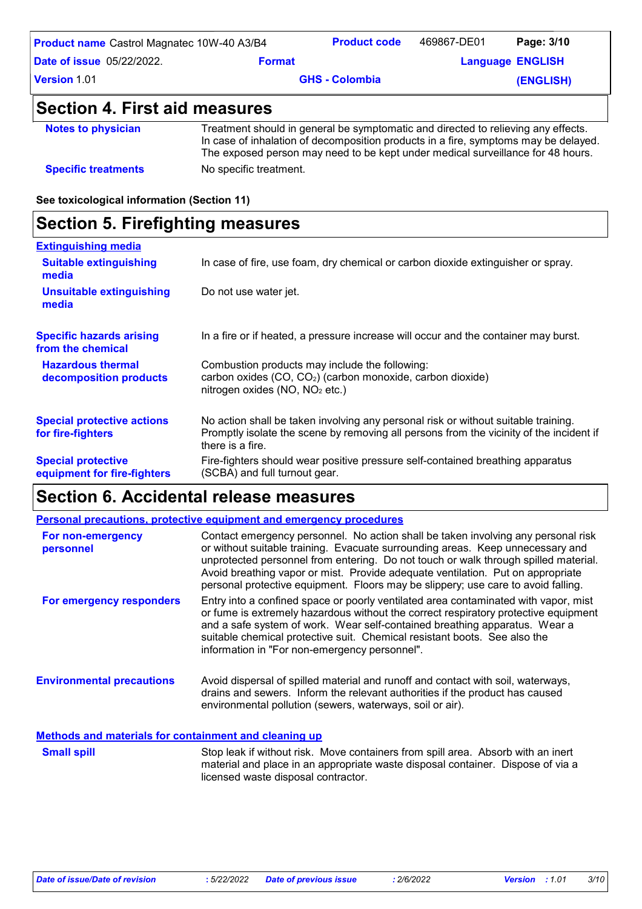| <b>Product name</b> Castrol Magnatec 10W-40 A3/B4 |               | <b>Product code</b>   | 469867-DE01 | Page: 3/10              |
|---------------------------------------------------|---------------|-----------------------|-------------|-------------------------|
| <b>Date of issue 05/22/2022.</b>                  | <b>Format</b> |                       |             | <b>Language ENGLISH</b> |
| Version 1.01                                      |               | <b>GHS - Colombia</b> |             | (ENGLISH)               |
| Section 4. First aid measures                     |               |                       |             |                         |

| <b>Notes to physician</b>  | Treatment should in general be symptomatic and directed to relieving any effects.<br>In case of inhalation of decomposition products in a fire, symptoms may be delayed.<br>The exposed person may need to be kept under medical surveillance for 48 hours. |
|----------------------------|-------------------------------------------------------------------------------------------------------------------------------------------------------------------------------------------------------------------------------------------------------------|
| <b>Specific treatments</b> | No specific treatment.                                                                                                                                                                                                                                      |

**See toxicological information (Section 11)**

## **Section 5. Firefighting measures**

| <b>Extinguishing media</b>                               |                                                                                                                                                                                                   |
|----------------------------------------------------------|---------------------------------------------------------------------------------------------------------------------------------------------------------------------------------------------------|
| <b>Suitable extinguishing</b><br>media                   | In case of fire, use foam, dry chemical or carbon dioxide extinguisher or spray.                                                                                                                  |
| <b>Unsuitable extinguishing</b><br>media                 | Do not use water jet.                                                                                                                                                                             |
| <b>Specific hazards arising</b><br>from the chemical     | In a fire or if heated, a pressure increase will occur and the container may burst.                                                                                                               |
| <b>Hazardous thermal</b><br>decomposition products       | Combustion products may include the following:<br>carbon oxides (CO, CO <sub>2</sub> ) (carbon monoxide, carbon dioxide)<br>nitrogen oxides (NO, NO <sub>2</sub> etc.)                            |
| <b>Special protective actions</b><br>for fire-fighters   | No action shall be taken involving any personal risk or without suitable training.<br>Promptly isolate the scene by removing all persons from the vicinity of the incident if<br>there is a fire. |
| <b>Special protective</b><br>equipment for fire-fighters | Fire-fighters should wear positive pressure self-contained breathing apparatus<br>(SCBA) and full turnout gear.                                                                                   |

## **Section 6. Accidental release measures**

|                                                              | <b>Personal precautions, protective equipment and emergency procedures</b>                                                                                                                                                                                                                                                                                                                                                         |
|--------------------------------------------------------------|------------------------------------------------------------------------------------------------------------------------------------------------------------------------------------------------------------------------------------------------------------------------------------------------------------------------------------------------------------------------------------------------------------------------------------|
| For non-emergency<br>personnel                               | Contact emergency personnel. No action shall be taken involving any personal risk<br>or without suitable training. Evacuate surrounding areas. Keep unnecessary and<br>unprotected personnel from entering. Do not touch or walk through spilled material.<br>Avoid breathing vapor or mist. Provide adequate ventilation. Put on appropriate<br>personal protective equipment. Floors may be slippery; use care to avoid falling. |
| For emergency responders                                     | Entry into a confined space or poorly ventilated area contaminated with vapor, mist<br>or fume is extremely hazardous without the correct respiratory protective equipment<br>and a safe system of work. Wear self-contained breathing apparatus. Wear a<br>suitable chemical protective suit. Chemical resistant boots. See also the<br>information in "For non-emergency personnel".                                             |
| <b>Environmental precautions</b>                             | Avoid dispersal of spilled material and runoff and contact with soil, waterways,<br>drains and sewers. Inform the relevant authorities if the product has caused<br>environmental pollution (sewers, waterways, soil or air).                                                                                                                                                                                                      |
| <b>Methods and materials for containment and cleaning up</b> |                                                                                                                                                                                                                                                                                                                                                                                                                                    |

Stop leak if without risk. Move containers from spill area. Absorb with an inert material and place in an appropriate waste disposal container. Dispose of via a licensed waste disposal contractor. **Small spill**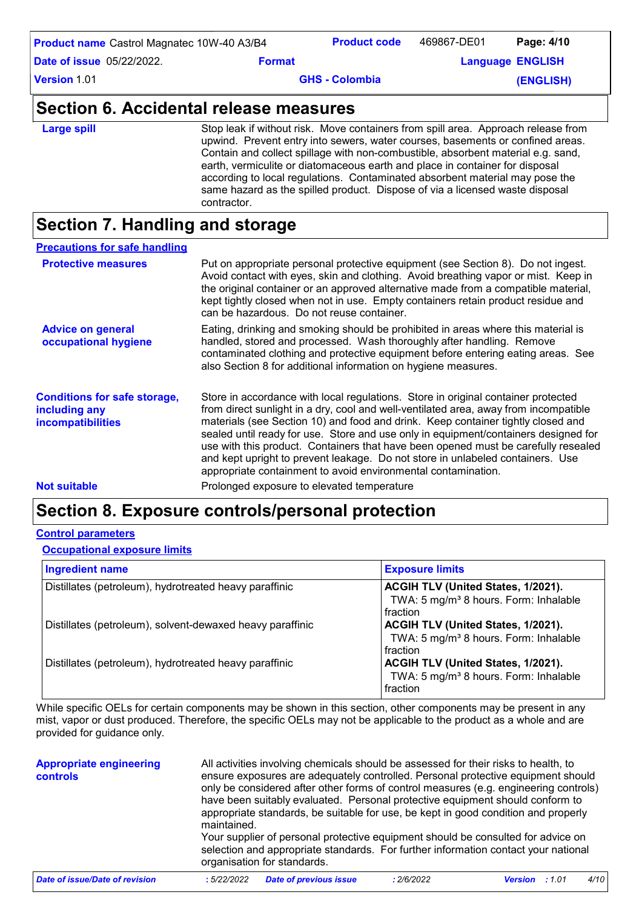| Section 6. Accidental release measures            |               |                       |             |                         |
|---------------------------------------------------|---------------|-----------------------|-------------|-------------------------|
| Version 1.01                                      |               | <b>GHS - Colombia</b> |             | (ENGLISH)               |
| <b>Date of issue 05/22/2022.</b>                  | <b>Format</b> |                       |             | <b>Language ENGLISH</b> |
| <b>Product name</b> Castrol Magnatec 10W-40 A3/B4 |               | <b>Product code</b>   | 469867-DE01 | Page: 4/10              |

| <b>Large spill</b> | Stop leak if without risk. Move containers from spill area. Approach release from<br>upwind. Prevent entry into sewers, water courses, basements or confined areas.<br>Contain and collect spillage with non-combustible, absorbent material e.g. sand,<br>earth, vermiculite or diatomaceous earth and place in container for disposal<br>according to local regulations. Contaminated absorbent material may pose the<br>same hazard as the spilled product. Dispose of via a licensed waste disposal<br>contractor. |
|--------------------|------------------------------------------------------------------------------------------------------------------------------------------------------------------------------------------------------------------------------------------------------------------------------------------------------------------------------------------------------------------------------------------------------------------------------------------------------------------------------------------------------------------------|
|--------------------|------------------------------------------------------------------------------------------------------------------------------------------------------------------------------------------------------------------------------------------------------------------------------------------------------------------------------------------------------------------------------------------------------------------------------------------------------------------------------------------------------------------------|

## **Section 7. Handling and storage**

| <b>Precautions for safe handling</b>                                      |                                                                                                                                                                                                                                                                                                                                                                                                                                                                                                                                                                                               |
|---------------------------------------------------------------------------|-----------------------------------------------------------------------------------------------------------------------------------------------------------------------------------------------------------------------------------------------------------------------------------------------------------------------------------------------------------------------------------------------------------------------------------------------------------------------------------------------------------------------------------------------------------------------------------------------|
| <b>Protective measures</b>                                                | Put on appropriate personal protective equipment (see Section 8). Do not ingest.<br>Avoid contact with eyes, skin and clothing. Avoid breathing vapor or mist. Keep in<br>the original container or an approved alternative made from a compatible material,<br>kept tightly closed when not in use. Empty containers retain product residue and<br>can be hazardous. Do not reuse container.                                                                                                                                                                                                 |
| <b>Advice on general</b><br>occupational hygiene                          | Eating, drinking and smoking should be prohibited in areas where this material is<br>handled, stored and processed. Wash thoroughly after handling. Remove<br>contaminated clothing and protective equipment before entering eating areas. See<br>also Section 8 for additional information on hygiene measures.                                                                                                                                                                                                                                                                              |
| <b>Conditions for safe storage,</b><br>including any<br>incompatibilities | Store in accordance with local regulations. Store in original container protected<br>from direct sunlight in a dry, cool and well-ventilated area, away from incompatible<br>materials (see Section 10) and food and drink. Keep container tightly closed and<br>sealed until ready for use. Store and use only in equipment/containers designed for<br>use with this product. Containers that have been opened must be carefully resealed<br>and kept upright to prevent leakage. Do not store in unlabeled containers. Use<br>appropriate containment to avoid environmental contamination. |
| <b>Not suitable</b>                                                       | Prolonged exposure to elevated temperature                                                                                                                                                                                                                                                                                                                                                                                                                                                                                                                                                    |

## **Section 8. Exposure controls/personal protection**

### **Control parameters**

### **Occupational exposure limits**

| <b>Ingredient name</b>                                    | <b>Exposure limits</b>                                                                              |
|-----------------------------------------------------------|-----------------------------------------------------------------------------------------------------|
| Distillates (petroleum), hydrotreated heavy paraffinic    | ACGIH TLV (United States, 1/2021).<br>TWA: 5 mg/m <sup>3</sup> 8 hours. Form: Inhalable<br>fraction |
| Distillates (petroleum), solvent-dewaxed heavy paraffinic | ACGIH TLV (United States, 1/2021).<br>TWA: 5 mg/m <sup>3</sup> 8 hours. Form: Inhalable<br>fraction |
| Distillates (petroleum), hydrotreated heavy paraffinic    | ACGIH TLV (United States, 1/2021).<br>TWA: 5 mg/m <sup>3</sup> 8 hours. Form: Inhalable<br>fraction |

While specific OELs for certain components may be shown in this section, other components may be present in any mist, vapor or dust produced. Therefore, the specific OELs may not be applicable to the product as a whole and are provided for guidance only.

| <b>Appropriate engineering</b><br><b>controls</b> | maintained. | All activities involving chemicals should be assessed for their risks to health, to<br>organisation for standards. |            | ensure exposures are adequately controlled. Personal protective equipment should<br>only be considered after other forms of control measures (e.g. engineering controls)<br>have been suitably evaluated. Personal protective equipment should conform to<br>appropriate standards, be suitable for use, be kept in good condition and properly<br>Your supplier of personal protective equipment should be consulted for advice on<br>selection and appropriate standards. For further information contact your national |
|---------------------------------------------------|-------------|--------------------------------------------------------------------------------------------------------------------|------------|---------------------------------------------------------------------------------------------------------------------------------------------------------------------------------------------------------------------------------------------------------------------------------------------------------------------------------------------------------------------------------------------------------------------------------------------------------------------------------------------------------------------------|
| <b>Date of issue/Date of revision</b>             | :5/22/2022  | <b>Date of previous issue</b>                                                                                      | : 2/6/2022 | 4/10<br><b>Version</b> : 1.01                                                                                                                                                                                                                                                                                                                                                                                                                                                                                             |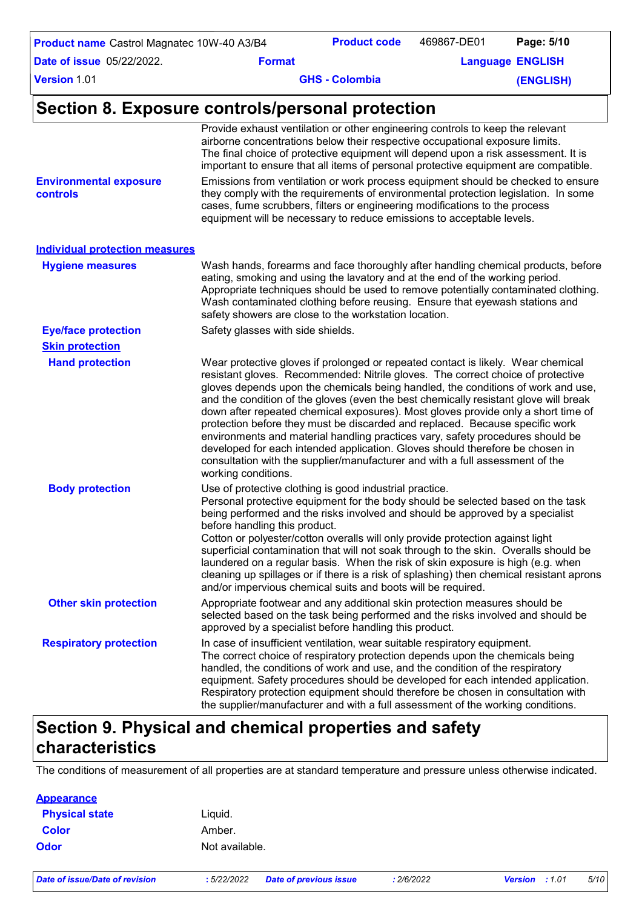| <b>Product name</b> Castrol Magnatec 10W-40 A3/B4 |               | <b>Product code</b>   | 469867-DE01 | Page: 5/10              |
|---------------------------------------------------|---------------|-----------------------|-------------|-------------------------|
| <b>Date of issue</b> 05/22/2022.                  | <b>Format</b> |                       |             | <b>Language ENGLISH</b> |
| Version 1.01                                      |               | <b>GHS - Colombia</b> |             | (ENGLISH)               |
|                                                   |               |                       |             |                         |

## **Section 8. Exposure controls/personal protection**

| <b>Environmental exposure</b><br>controls | Provide exhaust ventilation or other engineering controls to keep the relevant<br>airborne concentrations below their respective occupational exposure limits.<br>The final choice of protective equipment will depend upon a risk assessment. It is<br>important to ensure that all items of personal protective equipment are compatible.<br>Emissions from ventilation or work process equipment should be checked to ensure<br>they comply with the requirements of environmental protection legislation. In some<br>cases, fume scrubbers, filters or engineering modifications to the process<br>equipment will be necessary to reduce emissions to acceptable levels.                                                                                                                    |
|-------------------------------------------|-------------------------------------------------------------------------------------------------------------------------------------------------------------------------------------------------------------------------------------------------------------------------------------------------------------------------------------------------------------------------------------------------------------------------------------------------------------------------------------------------------------------------------------------------------------------------------------------------------------------------------------------------------------------------------------------------------------------------------------------------------------------------------------------------|
| <b>Individual protection measures</b>     |                                                                                                                                                                                                                                                                                                                                                                                                                                                                                                                                                                                                                                                                                                                                                                                                 |
| <b>Hygiene measures</b>                   | Wash hands, forearms and face thoroughly after handling chemical products, before<br>eating, smoking and using the lavatory and at the end of the working period.<br>Appropriate techniques should be used to remove potentially contaminated clothing.<br>Wash contaminated clothing before reusing. Ensure that eyewash stations and<br>safety showers are close to the workstation location.                                                                                                                                                                                                                                                                                                                                                                                                 |
| <b>Eye/face protection</b>                | Safety glasses with side shields.                                                                                                                                                                                                                                                                                                                                                                                                                                                                                                                                                                                                                                                                                                                                                               |
| <b>Skin protection</b>                    |                                                                                                                                                                                                                                                                                                                                                                                                                                                                                                                                                                                                                                                                                                                                                                                                 |
| <b>Hand protection</b>                    | Wear protective gloves if prolonged or repeated contact is likely. Wear chemical<br>resistant gloves. Recommended: Nitrile gloves. The correct choice of protective<br>gloves depends upon the chemicals being handled, the conditions of work and use,<br>and the condition of the gloves (even the best chemically resistant glove will break<br>down after repeated chemical exposures). Most gloves provide only a short time of<br>protection before they must be discarded and replaced. Because specific work<br>environments and material handling practices vary, safety procedures should be<br>developed for each intended application. Gloves should therefore be chosen in<br>consultation with the supplier/manufacturer and with a full assessment of the<br>working conditions. |
| <b>Body protection</b>                    | Use of protective clothing is good industrial practice.<br>Personal protective equipment for the body should be selected based on the task<br>being performed and the risks involved and should be approved by a specialist<br>before handling this product.<br>Cotton or polyester/cotton overalls will only provide protection against light<br>superficial contamination that will not soak through to the skin. Overalls should be<br>laundered on a regular basis. When the risk of skin exposure is high (e.g. when<br>cleaning up spillages or if there is a risk of splashing) then chemical resistant aprons<br>and/or impervious chemical suits and boots will be required.                                                                                                           |
| <b>Other skin protection</b>              | Appropriate footwear and any additional skin protection measures should be<br>selected based on the task being performed and the risks involved and should be<br>approved by a specialist before handling this product.                                                                                                                                                                                                                                                                                                                                                                                                                                                                                                                                                                         |
| <b>Respiratory protection</b>             | In case of insufficient ventilation, wear suitable respiratory equipment.<br>The correct choice of respiratory protection depends upon the chemicals being<br>handled, the conditions of work and use, and the condition of the respiratory<br>equipment. Safety procedures should be developed for each intended application.<br>Respiratory protection equipment should therefore be chosen in consultation with<br>the supplier/manufacturer and with a full assessment of the working conditions.                                                                                                                                                                                                                                                                                           |

## **Section 9. Physical and chemical properties and safety characteristics**

The conditions of measurement of all properties are at standard temperature and pressure unless otherwise indicated.

| Liguid.        |
|----------------|
| Amber.         |
| Not available. |
|                |

*Date of issue/Date of revision* **:** *5/22/2022 Date of previous issue : 2/6/2022 Version : 1.01 5/10*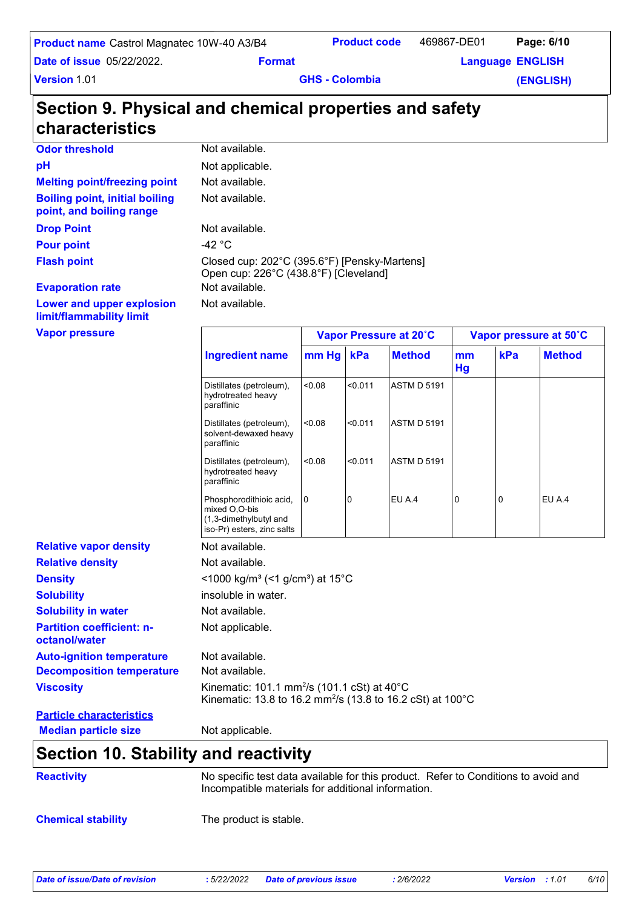| <b>Product name</b> Castrol Magnatec 10W-40 A3/B4 |                                                        | <b>Product code</b>   | 469867-DE01 | Page: 6/10              |
|---------------------------------------------------|--------------------------------------------------------|-----------------------|-------------|-------------------------|
| <b>Date of issue 05/22/2022.</b>                  | <b>Format</b>                                          |                       |             | <b>Language ENGLISH</b> |
| <b>Version 1.01</b>                               |                                                        | <b>GHS - Colombia</b> |             | (ENGLISH)               |
|                                                   |                                                        |                       |             |                         |
| characteristics                                   | Section 9. Physical and chemical properties and safety |                       |             |                         |
| <b>Odor threshold</b>                             | Not available.                                         |                       |             |                         |

**Melting point/freezing point Boiling point, initial boiling point, and boiling range**

**Pour point**  $-42 \degree C$ 

**Evaporation rate Not available.** Not available. **Drop Point** Not available. Not available. **Flash point** Closed cup: 202°C (395.6°F) [Pensky-Martens] Open cup: 226°C (438.8°F) [Cleveland]

Not available.

**Lower and upper explosion limit/flammability limit**

**Vapor pressure**

| <b>Vapor pressure</b>                             |                                                                                                                                   | Vapor Pressure at 20°C |         |                    | Vapor pressure at 50°C |     |               |
|---------------------------------------------------|-----------------------------------------------------------------------------------------------------------------------------------|------------------------|---------|--------------------|------------------------|-----|---------------|
|                                                   | <b>Ingredient name</b>                                                                                                            | mm Hg                  | kPa     | <b>Method</b>      | mm<br>Hg               | kPa | <b>Method</b> |
|                                                   | Distillates (petroleum),<br>hydrotreated heavy<br>paraffinic                                                                      | 0.08                   | < 0.011 | <b>ASTM D 5191</b> |                        |     |               |
|                                                   | Distillates (petroleum),<br>solvent-dewaxed heavy<br>paraffinic                                                                   | < 0.08                 | < 0.011 | <b>ASTM D 5191</b> |                        |     |               |
|                                                   | Distillates (petroleum),<br>hydrotreated heavy<br>paraffinic                                                                      | < 0.08                 | < 0.011 | <b>ASTM D 5191</b> |                        |     |               |
|                                                   | Phosphorodithioic acid,<br>mixed O,O-bis<br>(1,3-dimethylbutyl and<br>iso-Pr) esters, zinc salts                                  | 0                      | 0       | EU A.4             | 0                      | 0   | EU A.4        |
| <b>Relative vapor density</b>                     | Not available.                                                                                                                    |                        |         |                    |                        |     |               |
| <b>Relative density</b>                           | Not available.                                                                                                                    |                        |         |                    |                        |     |               |
| <b>Density</b>                                    | <1000 kg/m <sup>3</sup> (<1 g/cm <sup>3</sup> ) at 15 <sup>°</sup> C                                                              |                        |         |                    |                        |     |               |
| <b>Solubility</b>                                 | insoluble in water.                                                                                                               |                        |         |                    |                        |     |               |
| <b>Solubility in water</b>                        | Not available.                                                                                                                    |                        |         |                    |                        |     |               |
| <b>Partition coefficient: n-</b><br>octanol/water | Not applicable.                                                                                                                   |                        |         |                    |                        |     |               |
| <b>Auto-ignition temperature</b>                  | Not available.                                                                                                                    |                        |         |                    |                        |     |               |
| <b>Decomposition temperature</b>                  | Not available.                                                                                                                    |                        |         |                    |                        |     |               |
| <b>Viscosity</b>                                  | Kinematic: 101.1 mm <sup>2</sup> /s (101.1 cSt) at 40°C<br>Kinematic: 13.8 to 16.2 mm <sup>2</sup> /s (13.8 to 16.2 cSt) at 100°C |                        |         |                    |                        |     |               |
| <b>Particle characteristics</b>                   |                                                                                                                                   |                        |         |                    |                        |     |               |
| <b>Median particle size</b>                       | Not applicable.                                                                                                                   |                        |         |                    |                        |     |               |

## **Section 10. Stability and reactivity**

| <b>Reactivity</b>         | No specific test data available for this product. Refer to Conditions to avoid and<br>Incompatible materials for additional information. |
|---------------------------|------------------------------------------------------------------------------------------------------------------------------------------|
| <b>Chemical stability</b> | The product is stable.                                                                                                                   |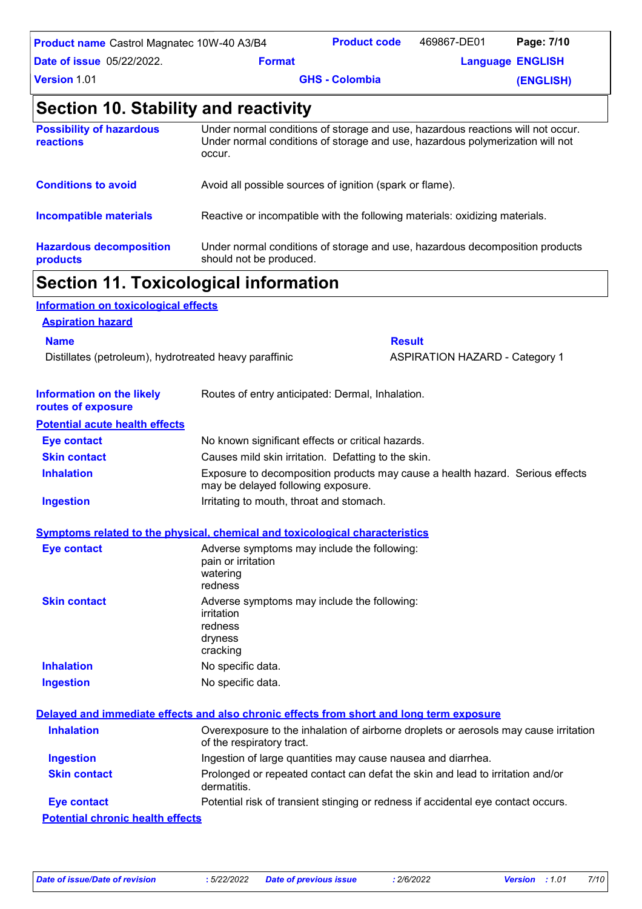| <b>Product name</b> Castrol Magnatec 10W-40 A3/B4 |               | <b>Product code</b>   | 469867-DE01 | Page: 7/10              |
|---------------------------------------------------|---------------|-----------------------|-------------|-------------------------|
| <b>Date of issue</b> 05/22/2022.                  | <b>Format</b> |                       |             | <b>Language ENGLISH</b> |
| <b>Version 1.01</b>                               |               | <b>GHS - Colombia</b> |             | (ENGLISH)               |

## **Section 10. Stability and reactivity**

|                                              | <b>Section 11. Toxicological information</b>                                                                                                                               |
|----------------------------------------------|----------------------------------------------------------------------------------------------------------------------------------------------------------------------------|
| <b>Hazardous decomposition</b><br>products   | Under normal conditions of storage and use, hazardous decomposition products<br>should not be produced.                                                                    |
| <b>Incompatible materials</b>                | Reactive or incompatible with the following materials: oxidizing materials.                                                                                                |
| <b>Conditions to avoid</b>                   | Avoid all possible sources of ignition (spark or flame).                                                                                                                   |
| <b>Possibility of hazardous</b><br>reactions | Under normal conditions of storage and use, hazardous reactions will not occur.<br>Under normal conditions of storage and use, hazardous polymerization will not<br>occur. |

| Information on toxicological effects                   |                                                                                             |                                                                                                                     |  |
|--------------------------------------------------------|---------------------------------------------------------------------------------------------|---------------------------------------------------------------------------------------------------------------------|--|
| <b>Aspiration hazard</b>                               |                                                                                             |                                                                                                                     |  |
| <b>Name</b>                                            |                                                                                             | <b>Result</b>                                                                                                       |  |
| Distillates (petroleum), hydrotreated heavy paraffinic |                                                                                             | <b>ASPIRATION HAZARD - Category 1</b>                                                                               |  |
| <b>Information on the likely</b><br>routes of exposure | Routes of entry anticipated: Dermal, Inhalation.                                            |                                                                                                                     |  |
| <b>Potential acute health effects</b>                  |                                                                                             |                                                                                                                     |  |
| <b>Eye contact</b>                                     | No known significant effects or critical hazards.                                           |                                                                                                                     |  |
| <b>Skin contact</b>                                    | Causes mild skin irritation. Defatting to the skin.                                         |                                                                                                                     |  |
| <b>Inhalation</b>                                      |                                                                                             | Exposure to decomposition products may cause a health hazard. Serious effects<br>may be delayed following exposure. |  |
| <b>Ingestion</b>                                       | Irritating to mouth, throat and stomach.                                                    |                                                                                                                     |  |
|                                                        | <b>Symptoms related to the physical, chemical and toxicological characteristics</b>         |                                                                                                                     |  |
| <b>Eye contact</b>                                     | Adverse symptoms may include the following:<br>pain or irritation<br>watering<br>redness    |                                                                                                                     |  |
| <b>Skin contact</b>                                    | Adverse symptoms may include the following:<br>irritation<br>redness<br>dryness<br>cracking |                                                                                                                     |  |
| <b>Inhalation</b>                                      | No specific data.                                                                           |                                                                                                                     |  |
| <b>Ingestion</b>                                       | No specific data.                                                                           |                                                                                                                     |  |
|                                                        | Delayed and immediate effects and also chronic effects from short and long term exposure    |                                                                                                                     |  |
| <b>Inhalation</b>                                      | of the respiratory tract.                                                                   | Overexposure to the inhalation of airborne droplets or aerosols may cause irritation                                |  |
| <b>Ingestion</b>                                       |                                                                                             | Ingestion of large quantities may cause nausea and diarrhea.                                                        |  |
| <b>Skin contact</b>                                    | dermatitis.                                                                                 | Prolonged or repeated contact can defat the skin and lead to irritation and/or                                      |  |
| <b>Eye contact</b>                                     |                                                                                             | Potential risk of transient stinging or redness if accidental eye contact occurs.                                   |  |
| <b>Potential chronic health effects</b>                |                                                                                             |                                                                                                                     |  |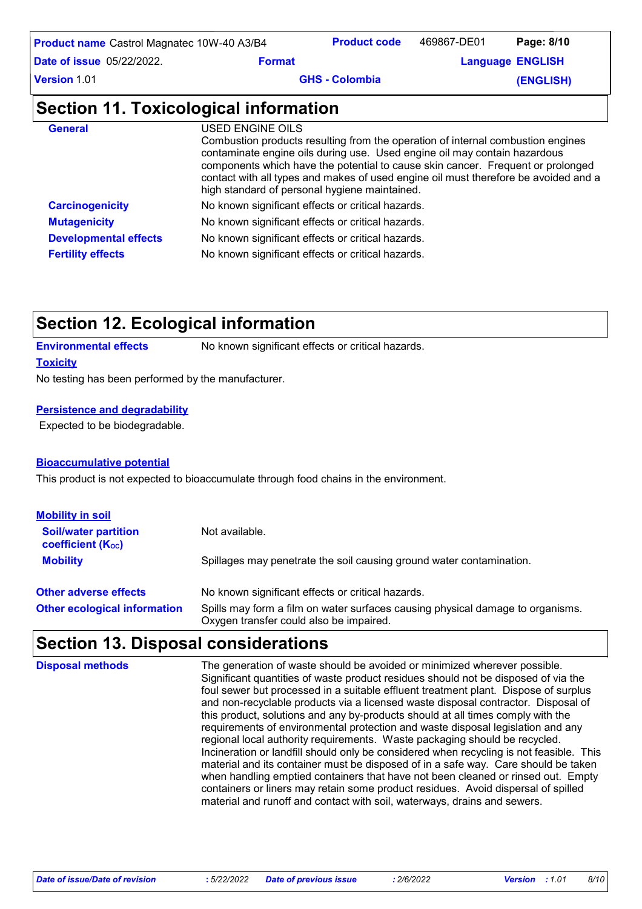| <b>Product name</b> Castrol Magnatec 10W-40 A3/B4 |                         | <b>Product code</b>                                                                                                                                                                                                                                                                                                                                                                     | 469867-DE01 | Page: 8/10              |  |
|---------------------------------------------------|-------------------------|-----------------------------------------------------------------------------------------------------------------------------------------------------------------------------------------------------------------------------------------------------------------------------------------------------------------------------------------------------------------------------------------|-------------|-------------------------|--|
| <b>Date of issue 05/22/2022.</b>                  | <b>Format</b>           |                                                                                                                                                                                                                                                                                                                                                                                         |             | <b>Language ENGLISH</b> |  |
| <b>Version 1.01</b>                               | <b>GHS - Colombia</b>   |                                                                                                                                                                                                                                                                                                                                                                                         |             | (ENGLISH)               |  |
| Section 11. Toxicological information             |                         |                                                                                                                                                                                                                                                                                                                                                                                         |             |                         |  |
| <b>General</b>                                    | <b>USED ENGINE OILS</b> | Combustion products resulting from the operation of internal combustion engines<br>contaminate engine oils during use. Used engine oil may contain hazardous<br>components which have the potential to cause skin cancer. Frequent or prolonged<br>contact with all types and makes of used engine oil must therefore be avoided and a<br>high standard of personal hygiene maintained. |             |                         |  |
| <b>Carcinogenicity</b>                            |                         | No known significant effects or critical hazards.                                                                                                                                                                                                                                                                                                                                       |             |                         |  |
| <b>Mutagenicity</b>                               |                         | No known significant effects or critical hazards.                                                                                                                                                                                                                                                                                                                                       |             |                         |  |
| <b>Developmental effects</b>                      |                         | No known significant effects or critical hazards.                                                                                                                                                                                                                                                                                                                                       |             |                         |  |
| <b>Fertility effects</b>                          |                         | No known significant effects or critical hazards.                                                                                                                                                                                                                                                                                                                                       |             |                         |  |

## **Section 12. Ecological information**

**Environmental effects** No known significant effects or critical hazards.

### **Toxicity**

No testing has been performed by the manufacturer.

### **Persistence and degradability**

Expected to be biodegradable.

### **Bioaccumulative potential**

This product is not expected to bioaccumulate through food chains in the environment.

| <b>Mobility in soil</b>                                 |                                                                                                                           |
|---------------------------------------------------------|---------------------------------------------------------------------------------------------------------------------------|
| <b>Soil/water partition</b><br><b>coefficient (Koc)</b> | Not available.                                                                                                            |
| <b>Mobility</b>                                         | Spillages may penetrate the soil causing ground water contamination.                                                      |
| <b>Other adverse effects</b>                            | No known significant effects or critical hazards.                                                                         |
| <b>Other ecological information</b>                     | Spills may form a film on water surfaces causing physical damage to organisms.<br>Oxygen transfer could also be impaired. |

### **Section 13. Disposal considerations**

The generation of waste should be avoided or minimized wherever possible. Significant quantities of waste product residues should not be disposed of via the foul sewer but processed in a suitable effluent treatment plant. Dispose of surplus and non-recyclable products via a licensed waste disposal contractor. Disposal of this product, solutions and any by-products should at all times comply with the requirements of environmental protection and waste disposal legislation and any regional local authority requirements. Waste packaging should be recycled. Incineration or landfill should only be considered when recycling is not feasible. This material and its container must be disposed of in a safe way. Care should be taken when handling emptied containers that have not been cleaned or rinsed out. Empty containers or liners may retain some product residues. Avoid dispersal of spilled material and runoff and contact with soil, waterways, drains and sewers. **Disposal methods**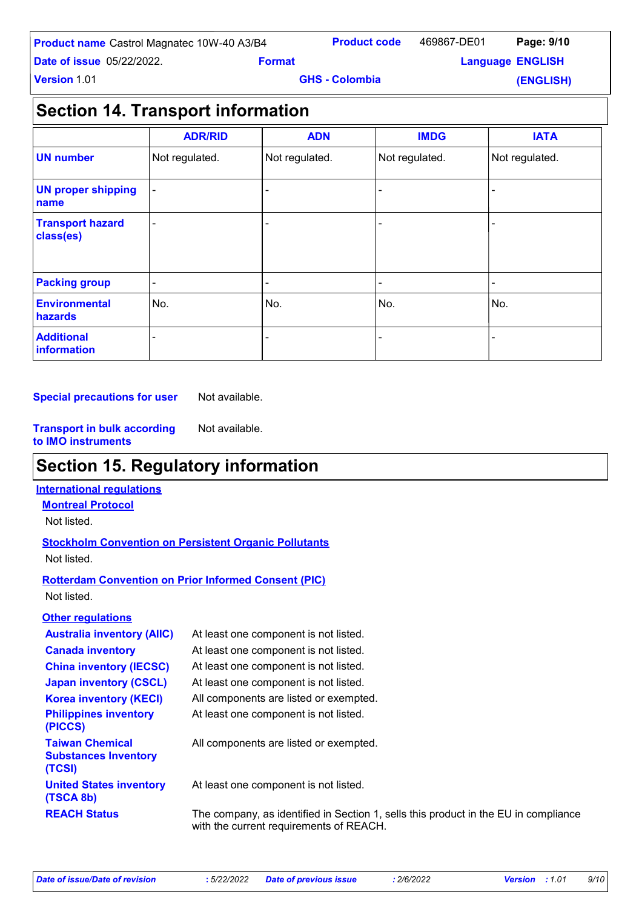| <b>Product name</b> Castrol Magnatec 10W-40 A3/B4 |               | <b>Product code</b>   | 469867-DE01             | Page: 9/10 |
|---------------------------------------------------|---------------|-----------------------|-------------------------|------------|
| <b>Date of issue</b> 05/22/2022.                  | <b>Format</b> |                       | <b>Language ENGLISH</b> |            |
| <b>Version 1.01</b>                               |               | <b>GHS - Colombia</b> |                         | (ENGLISH)  |

## **Section 14. Transport information**

|                                      | <b>ADR/RID</b>           | <b>ADN</b>     | <b>IMDG</b>    | <b>IATA</b>    |
|--------------------------------------|--------------------------|----------------|----------------|----------------|
| <b>UN number</b>                     | Not regulated.           | Not regulated. | Not regulated. | Not regulated. |
| <b>UN proper shipping</b><br>name    | $\blacksquare$           |                |                |                |
| <b>Transport hazard</b><br>class(es) | $\overline{\phantom{0}}$ |                |                |                |
| <b>Packing group</b>                 | $\overline{\phantom{a}}$ | ۰              |                | -              |
| <b>Environmental</b><br>hazards      | No.                      | No.            | No.            | No.            |
| <b>Additional</b><br>information     |                          |                |                |                |

**Special precautions for user** Not available.

**Transport in bulk according to IMO instruments** Not available.

## **Section 15. Regulatory information**

### **International regulations**

**Montreal Protocol** Not listed.

### **Stockholm Convention on Persistent Organic Pollutants** Not listed.

### **Rotterdam Convention on Prior Informed Consent (PIC)** Not listed.

### **Other regulations**

| <b>Australia inventory (AIIC)</b>                               | At least one component is not listed.                                                                                          |
|-----------------------------------------------------------------|--------------------------------------------------------------------------------------------------------------------------------|
| <b>Canada inventory</b>                                         | At least one component is not listed.                                                                                          |
| <b>China inventory (IECSC)</b>                                  | At least one component is not listed.                                                                                          |
| <b>Japan inventory (CSCL)</b>                                   | At least one component is not listed.                                                                                          |
| <b>Korea inventory (KECI)</b>                                   | All components are listed or exempted.                                                                                         |
| <b>Philippines inventory</b><br>(PICCS)                         | At least one component is not listed.                                                                                          |
| <b>Taiwan Chemical</b><br><b>Substances Inventory</b><br>(TCSI) | All components are listed or exempted.                                                                                         |
| <b>United States inventory</b><br>(TSCA 8b)                     | At least one component is not listed.                                                                                          |
| <b>REACH Status</b>                                             | The company, as identified in Section 1, sells this product in the EU in compliance<br>with the current requirements of REACH. |